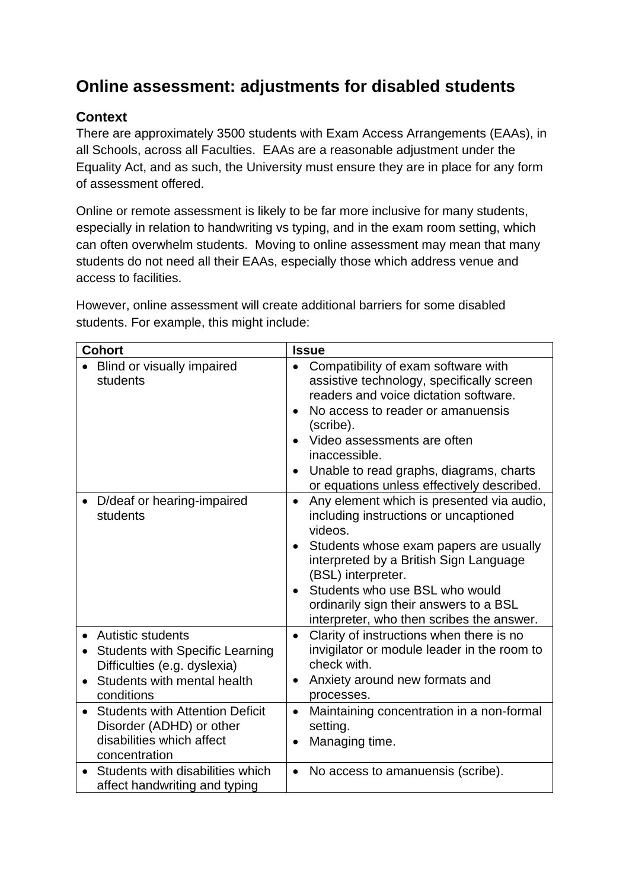# **Online assessment: adjustments for disabled students**

# **Context**

There are approximately 3500 students with Exam Access Arrangements (EAAs), in all Schools, across all Faculties. EAAs are a reasonable adjustment under the Equality Act, and as such, the University must ensure they are in place for any form of assessment offered.

Online or remote assessment is likely to be far more inclusive for many students, especially in relation to handwriting vs typing, and in the exam room setting, which can often overwhelm students. Moving to online assessment may mean that many students do not need all their EAAs, especially those which address venue and access to facilities.

However, online assessment will create additional barriers for some disabled students. For example, this might include:

| <b>Cohort</b>                                       | <b>Issue</b>                                                                                                                                                                                                                                                                                                                                                             |
|-----------------------------------------------------|--------------------------------------------------------------------------------------------------------------------------------------------------------------------------------------------------------------------------------------------------------------------------------------------------------------------------------------------------------------------------|
| Blind or visually impaired<br>students              | Compatibility of exam software with<br>$\bullet$<br>assistive technology, specifically screen<br>readers and voice dictation software.<br>No access to reader or amanuensis<br>$\bullet$<br>(scribe).<br>Video assessments are often<br>$\bullet$<br>inaccessible.<br>Unable to read graphs, diagrams, charts<br>$\bullet$<br>or equations unless effectively described. |
| D/deaf or hearing-impaired<br>$\bullet$<br>students | Any element which is presented via audio,<br>$\bullet$<br>including instructions or uncaptioned<br>videos.<br>Students whose exam papers are usually<br>$\bullet$<br>interpreted by a British Sign Language<br>(BSL) interpreter.<br>Students who use BSL who would<br>ordinarily sign their answers to a BSL<br>interpreter, who then scribes the answer.               |
| <b>Autistic students</b>                            | Clarity of instructions when there is no                                                                                                                                                                                                                                                                                                                                 |
| <b>Students with Specific Learning</b>              | $\bullet$                                                                                                                                                                                                                                                                                                                                                                |
| $\bullet$                                           | invigilator or module leader in the room to                                                                                                                                                                                                                                                                                                                              |
| Difficulties (e.g. dyslexia)                        | check with.                                                                                                                                                                                                                                                                                                                                                              |
| Students with mental health                         | Anxiety around new formats and                                                                                                                                                                                                                                                                                                                                           |
| $\bullet$                                           | $\bullet$                                                                                                                                                                                                                                                                                                                                                                |
| conditions                                          | processes.                                                                                                                                                                                                                                                                                                                                                               |
| <b>Students with Attention Deficit</b>              | Maintaining concentration in a non-formal                                                                                                                                                                                                                                                                                                                                |
| $\bullet$                                           | $\bullet$                                                                                                                                                                                                                                                                                                                                                                |
| Disorder (ADHD) or other                            | setting.                                                                                                                                                                                                                                                                                                                                                                 |
| disabilities which affect                           | Managing time.                                                                                                                                                                                                                                                                                                                                                           |
| concentration                                       | $\bullet$                                                                                                                                                                                                                                                                                                                                                                |
| Students with disabilities which                    | No access to amanuensis (scribe).                                                                                                                                                                                                                                                                                                                                        |
| affect handwriting and typing                       | $\bullet$                                                                                                                                                                                                                                                                                                                                                                |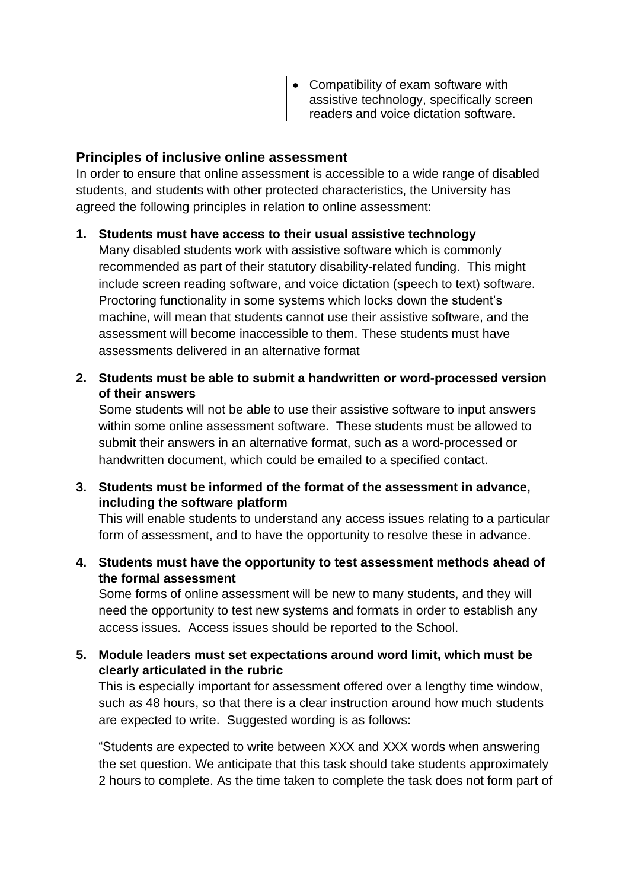| Compatibility of exam software with<br>assistive technology, specifically screen<br>readers and voice dictation software. |
|---------------------------------------------------------------------------------------------------------------------------|
|---------------------------------------------------------------------------------------------------------------------------|

#### **Principles of inclusive online assessment**

In order to ensure that online assessment is accessible to a wide range of disabled students, and students with other protected characteristics, the University has agreed the following principles in relation to online assessment:

## **1. Students must have access to their usual assistive technology**

Many disabled students work with assistive software which is commonly recommended as part of their statutory disability-related funding. This might include screen reading software, and voice dictation (speech to text) software. Proctoring functionality in some systems which locks down the student's machine, will mean that students cannot use their assistive software, and the assessment will become inaccessible to them. These students must have assessments delivered in an alternative format

**2. Students must be able to submit a handwritten or word-processed version of their answers**

Some students will not be able to use their assistive software to input answers within some online assessment software. These students must be allowed to submit their answers in an alternative format, such as a word-processed or handwritten document, which could be emailed to a specified contact.

**3. Students must be informed of the format of the assessment in advance, including the software platform**

This will enable students to understand any access issues relating to a particular form of assessment, and to have the opportunity to resolve these in advance.

**4. Students must have the opportunity to test assessment methods ahead of the formal assessment**

Some forms of online assessment will be new to many students, and they will need the opportunity to test new systems and formats in order to establish any access issues. Access issues should be reported to the School.

## **5. Module leaders must set expectations around word limit, which must be clearly articulated in the rubric**

This is especially important for assessment offered over a lengthy time window, such as 48 hours, so that there is a clear instruction around how much students are expected to write. Suggested wording is as follows:

"Students are expected to write between XXX and XXX words when answering the set question. We anticipate that this task should take students approximately 2 hours to complete. As the time taken to complete the task does not form part of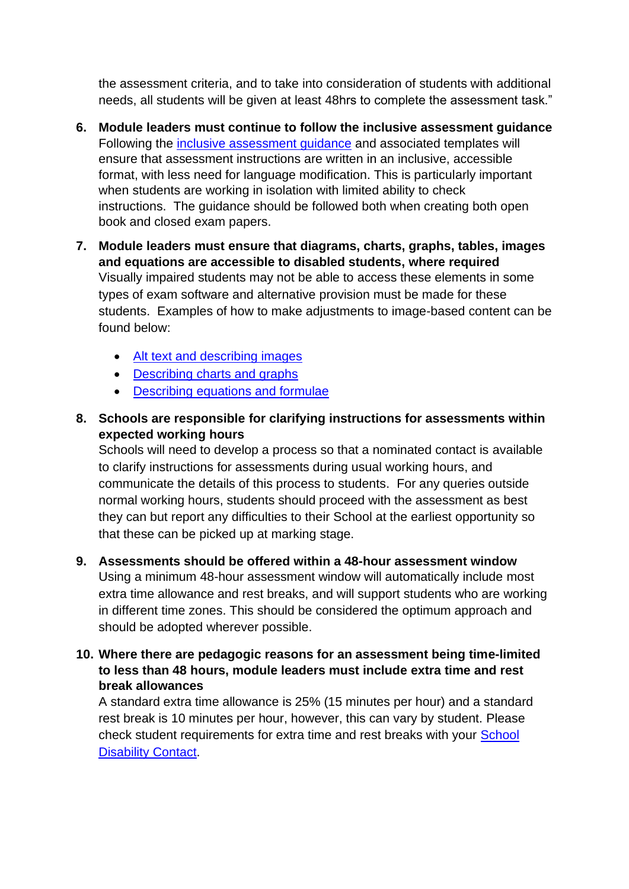the assessment criteria, and to take into consideration of students with additional needs, all students will be given at least 48hrs to complete the assessment task."

- **6. Module leaders must continue to follow the inclusive assessment guidance** Following the *inclusive assessment guidance* and associated templates will ensure that assessment instructions are written in an inclusive, accessible format, with less need for language modification. This is particularly important when students are working in isolation with limited ability to check instructions. The guidance should be followed both when creating both open book and closed exam papers.
- **7. Module leaders must ensure that diagrams, charts, graphs, tables, images and equations are accessible to disabled students, where required** Visually impaired students may not be able to access these elements in some types of exam software and alternative provision must be made for these students. Examples of how to make adjustments to image-based content can be found below:
	- [Alt text and describing images](file:///C:/Users/uniglh/Downloads/•%09https:/accessibility.huit.harvard.edu/content/describe-content-images)
	- [Describing charts and graphs](https://accessibility.psu.edu/images/charts/)
	- [Describing equations and formulae](https://cdl.ucf.edu/teach/accessibility/ms-word/equations/)
- **8. Schools are responsible for clarifying instructions for assessments within expected working hours**

Schools will need to develop a process so that a nominated contact is available to clarify instructions for assessments during usual working hours, and communicate the details of this process to students. For any queries outside normal working hours, students should proceed with the assessment as best they can but report any difficulties to their School at the earliest opportunity so that these can be picked up at marking stage.

- **9. Assessments should be offered within a 48-hour assessment window** Using a minimum 48-hour assessment window will automatically include most extra time allowance and rest breaks, and will support students who are working in different time zones. This should be considered the optimum approach and should be adopted wherever possible.
- **10. Where there are pedagogic reasons for an assessment being time-limited to less than 48 hours, module leaders must include extra time and rest break allowances**

A standard extra time allowance is 25% (15 minutes per hour) and a standard rest break is 10 minutes per hour, however, this can vary by student. Please check student requirements for extra time and rest breaks with your [School](https://students.leeds.ac.uk/info/1000032/support_for_disabled_students/1170/disability_contacts_in_schools) [Disability Contact.](https://students.leeds.ac.uk/info/1000032/support_for_disabled_students/1170/disability_contacts_in_schools)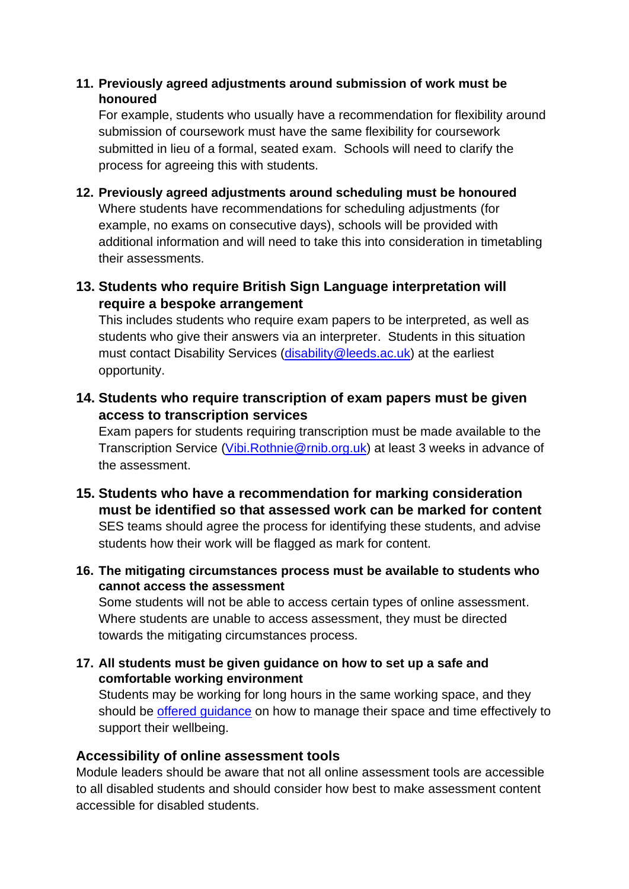#### **11. Previously agreed adjustments around submission of work must be honoured**

For example, students who usually have a recommendation for flexibility around submission of coursework must have the same flexibility for coursework submitted in lieu of a formal, seated exam. Schools will need to clarify the process for agreeing this with students.

## **12. Previously agreed adjustments around scheduling must be honoured**

Where students have recommendations for scheduling adjustments (for example, no exams on consecutive days), schools will be provided with additional information and will need to take this into consideration in timetabling their assessments.

## **13. Students who require British Sign Language interpretation will require a bespoke arrangement**

This includes students who require exam papers to be interpreted, as well as students who give their answers via an interpreter. Students in this situation must contact Disability Services [\(disability@leeds.ac.uk\)](mailto:disability@leeds.ac.uk) at the earliest opportunity.

**14. Students who require transcription of exam papers must be given access to transcription services**

Exam papers for students requiring transcription must be made available to the Transcription Service [\(Vibi.Rothnie@rnib.org.uk\)](mailto:Vibi.Rothnie@rnib.org.uk) at least 3 weeks in advance of the assessment.

**15. Students who have a recommendation for marking consideration must be identified so that assessed work can be marked for content** SES teams should agree the process for identifying these students, and advise students how their work will be flagged as mark for content.

#### **16. The mitigating circumstances process must be available to students who cannot access the assessment**

Some students will not be able to access certain types of online assessment. Where students are unable to access assessment, they must be directed towards the mitigating circumstances process.

#### **17. All students must be given guidance on how to set up a safe and comfortable working environment**

Students may be working for long hours in the same working space, and they should be [offered guidance](https://wsh.leeds.ac.uk/info/199/dse/307/advice_for_staff_on_working_at_home_due_to_coronavirus_covid-19) on how to manage their space and time effectively to support their wellbeing.

#### **Accessibility of online assessment tools**

Module leaders should be aware that not all online assessment tools are accessible to all disabled students and should consider how best to make assessment content accessible for disabled students.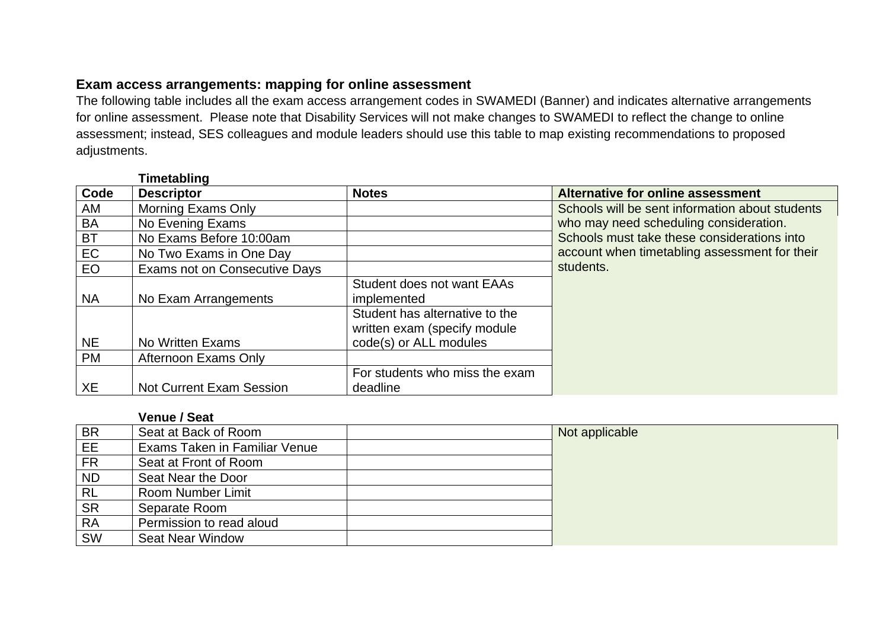#### **Exam access arrangements: mapping for online assessment**

The following table includes all the exam access arrangement codes in SWAMEDI (Banner) and indicates alternative arrangements for online assessment. Please note that Disability Services will not make changes to SWAMEDI to reflect the change to online assessment; instead, SES colleagues and module leaders should use this table to map existing recommendations to proposed adjustments.

#### **Timetabling**

| Code      | <b>Descriptor</b>                    | <b>Notes</b>                      | Alternative for online assessment               |
|-----------|--------------------------------------|-----------------------------------|-------------------------------------------------|
| AM        | <b>Morning Exams Only</b>            |                                   | Schools will be sent information about students |
| <b>BA</b> | No Evening Exams                     |                                   | who may need scheduling consideration.          |
| <b>BT</b> | No Exams Before 10:00am              |                                   | Schools must take these considerations into     |
| EC        | No Two Exams in One Day              |                                   | account when timetabling assessment for their   |
| <b>EO</b> | <b>Exams not on Consecutive Days</b> |                                   | students.                                       |
|           |                                      | <b>Student does not want EAAs</b> |                                                 |
| <b>NA</b> | No Exam Arrangements                 | implemented                       |                                                 |
|           |                                      | Student has alternative to the    |                                                 |
|           |                                      | written exam (specify module      |                                                 |
| <b>NE</b> | No Written Exams                     | code(s) or ALL modules            |                                                 |
| <b>PM</b> | Afternoon Exams Only                 |                                   |                                                 |
|           |                                      | For students who miss the exam    |                                                 |
| XE        | <b>Not Current Exam Session</b>      | deadline                          |                                                 |

**Venue / Seat**

| BR              | Seat at Back of Room                 | Not applicable |
|-----------------|--------------------------------------|----------------|
| EE              | <b>Exams Taken in Familiar Venue</b> |                |
| <b>FR</b>       | Seat at Front of Room                |                |
| <b>ND</b>       | Seat Near the Door                   |                |
| $\overline{RL}$ | Room Number Limit                    |                |
| <b>SR</b>       | Separate Room                        |                |
| <b>RA</b>       | Permission to read aloud             |                |
| SW              | <b>Seat Near Window</b>              |                |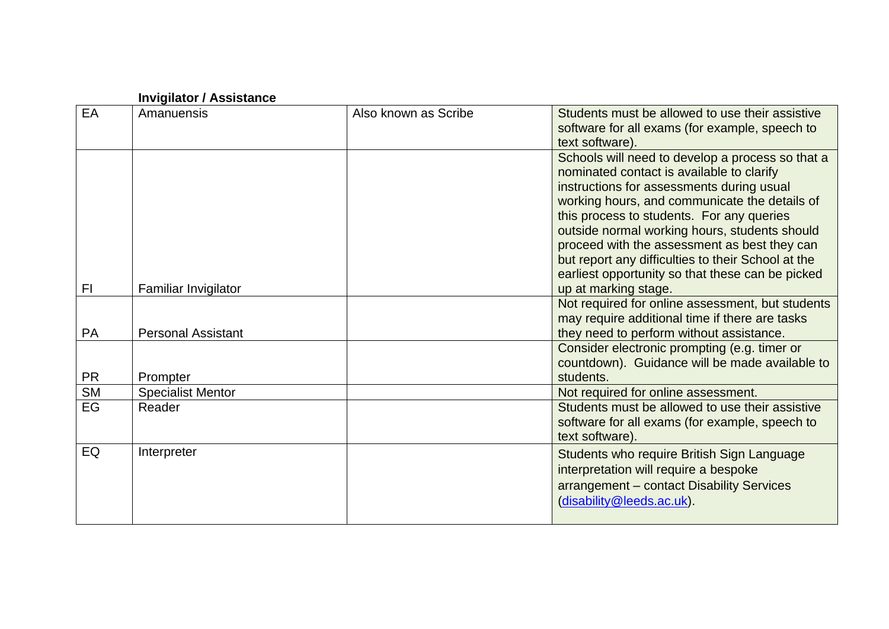|           | <b>Invigilator / Assistance</b> |                      |                                                                                                                                                                                                                                                                                                                                                                                                                                                                             |
|-----------|---------------------------------|----------------------|-----------------------------------------------------------------------------------------------------------------------------------------------------------------------------------------------------------------------------------------------------------------------------------------------------------------------------------------------------------------------------------------------------------------------------------------------------------------------------|
| EA        | Amanuensis                      | Also known as Scribe | Students must be allowed to use their assistive<br>software for all exams (for example, speech to<br>text software).                                                                                                                                                                                                                                                                                                                                                        |
| FI.       | Familiar Invigilator            |                      | Schools will need to develop a process so that a<br>nominated contact is available to clarify<br>instructions for assessments during usual<br>working hours, and communicate the details of<br>this process to students. For any queries<br>outside normal working hours, students should<br>proceed with the assessment as best they can<br>but report any difficulties to their School at the<br>earliest opportunity so that these can be picked<br>up at marking stage. |
|           |                                 |                      | Not required for online assessment, but students                                                                                                                                                                                                                                                                                                                                                                                                                            |
| PA        | <b>Personal Assistant</b>       |                      | may require additional time if there are tasks<br>they need to perform without assistance.                                                                                                                                                                                                                                                                                                                                                                                  |
| <b>PR</b> | Prompter                        |                      | Consider electronic prompting (e.g. timer or<br>countdown). Guidance will be made available to<br>students.                                                                                                                                                                                                                                                                                                                                                                 |
| <b>SM</b> | <b>Specialist Mentor</b>        |                      | Not required for online assessment.                                                                                                                                                                                                                                                                                                                                                                                                                                         |
| EG        | Reader                          |                      | Students must be allowed to use their assistive<br>software for all exams (for example, speech to<br>text software).                                                                                                                                                                                                                                                                                                                                                        |
| EQ        | Interpreter                     |                      | Students who require British Sign Language<br>interpretation will require a bespoke<br>arrangement - contact Disability Services<br>(disability@leeds.ac.uk).                                                                                                                                                                                                                                                                                                               |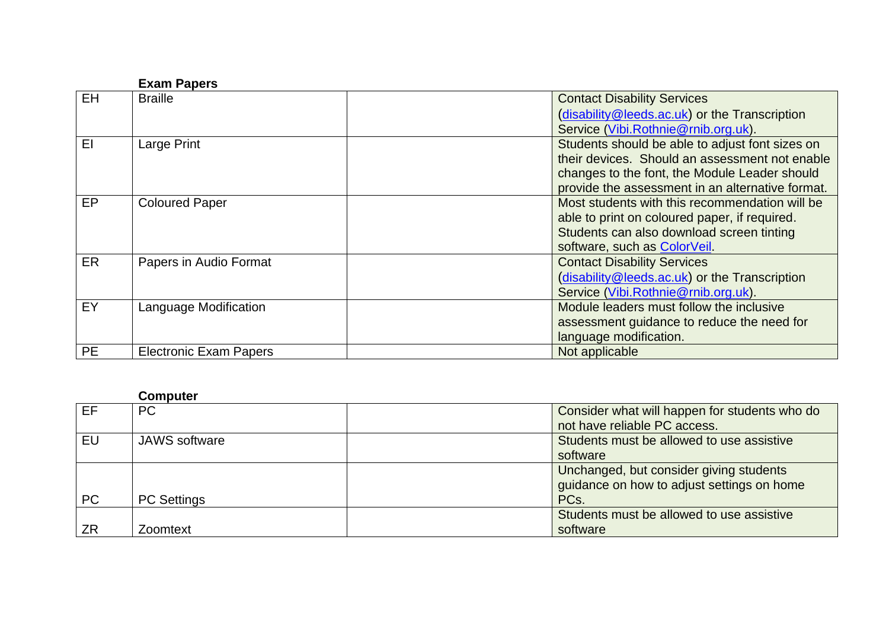|           | <b>Exam Papers</b>            |                                                  |
|-----------|-------------------------------|--------------------------------------------------|
| <b>EH</b> | <b>Braille</b>                | <b>Contact Disability Services</b>               |
|           |                               | (disability@leeds.ac.uk) or the Transcription    |
|           |                               | Service (Vibi.Rothnie@rnib.org.uk).              |
| EI        | Large Print                   | Students should be able to adjust font sizes on  |
|           |                               | their devices. Should an assessment not enable   |
|           |                               | changes to the font, the Module Leader should    |
|           |                               | provide the assessment in an alternative format. |
| EP        | <b>Coloured Paper</b>         | Most students with this recommendation will be   |
|           |                               | able to print on coloured paper, if required.    |
|           |                               | Students can also download screen tinting        |
|           |                               | software, such as ColorVeil.                     |
| ER        | Papers in Audio Format        | <b>Contact Disability Services</b>               |
|           |                               | (disability@leeds.ac.uk) or the Transcription    |
|           |                               | Service (Vibi.Rothnie@rnib.org.uk).              |
| EY        | Language Modification         | Module leaders must follow the inclusive         |
|           |                               | assessment guidance to reduce the need for       |
|           |                               | language modification.                           |
| <b>PE</b> | <b>Electronic Exam Papers</b> | Not applicable                                   |

# **Computer**

| EF        | <b>PC</b>            | Consider what will happen for students who do |
|-----------|----------------------|-----------------------------------------------|
|           |                      | not have reliable PC access.                  |
| EU        | <b>JAWS</b> software | Students must be allowed to use assistive     |
|           |                      | software                                      |
|           |                      | Unchanged, but consider giving students       |
|           |                      | guidance on how to adjust settings on home    |
| <b>PC</b> | <b>PC Settings</b>   | PC <sub>s</sub> .                             |
|           |                      | Students must be allowed to use assistive     |
| ZR        | Zoomtext             | software                                      |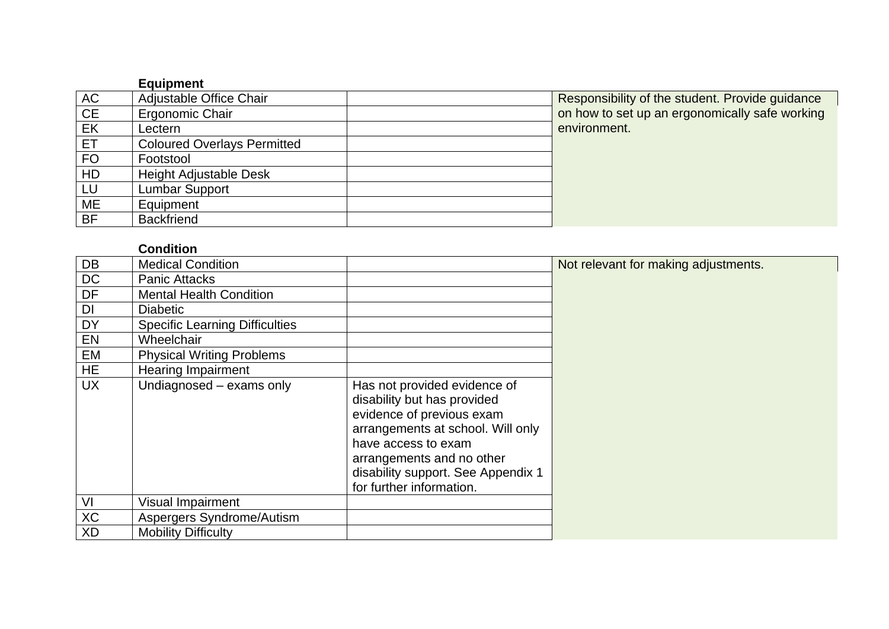|           | <b>Equipment</b>                   |                                                 |
|-----------|------------------------------------|-------------------------------------------------|
| AC        | Adjustable Office Chair            | Responsibility of the student. Provide guidance |
| CE        | Ergonomic Chair                    | on how to set up an ergonomically safe working  |
| EK        | Lectern                            | environment.                                    |
| ET        | <b>Coloured Overlays Permitted</b> |                                                 |
| <b>FO</b> | Footstool                          |                                                 |
| HD        | <b>Height Adjustable Desk</b>      |                                                 |
| LU        | <b>Lumbar Support</b>              |                                                 |
| ME        | Equipment                          |                                                 |
| <b>BF</b> | <b>Backfriend</b>                  |                                                 |

## **Condition**

| DB        | <b>Medical Condition</b>              |                                                                                                                                                                                                                                                     | Not relevant for making adjustments. |
|-----------|---------------------------------------|-----------------------------------------------------------------------------------------------------------------------------------------------------------------------------------------------------------------------------------------------------|--------------------------------------|
| <b>DC</b> | <b>Panic Attacks</b>                  |                                                                                                                                                                                                                                                     |                                      |
| DF        | <b>Mental Health Condition</b>        |                                                                                                                                                                                                                                                     |                                      |
| DI        | <b>Diabetic</b>                       |                                                                                                                                                                                                                                                     |                                      |
| <b>DY</b> | <b>Specific Learning Difficulties</b> |                                                                                                                                                                                                                                                     |                                      |
| EN        | Wheelchair                            |                                                                                                                                                                                                                                                     |                                      |
| EM        | <b>Physical Writing Problems</b>      |                                                                                                                                                                                                                                                     |                                      |
| <b>HE</b> | <b>Hearing Impairment</b>             |                                                                                                                                                                                                                                                     |                                      |
| <b>UX</b> | Undiagnosed - exams only              | Has not provided evidence of<br>disability but has provided<br>evidence of previous exam<br>arrangements at school. Will only<br>have access to exam<br>arrangements and no other<br>disability support. See Appendix 1<br>for further information. |                                      |
| VI        | <b>Visual Impairment</b>              |                                                                                                                                                                                                                                                     |                                      |
| <b>XC</b> | Aspergers Syndrome/Autism             |                                                                                                                                                                                                                                                     |                                      |
| <b>XD</b> | <b>Mobility Difficulty</b>            |                                                                                                                                                                                                                                                     |                                      |